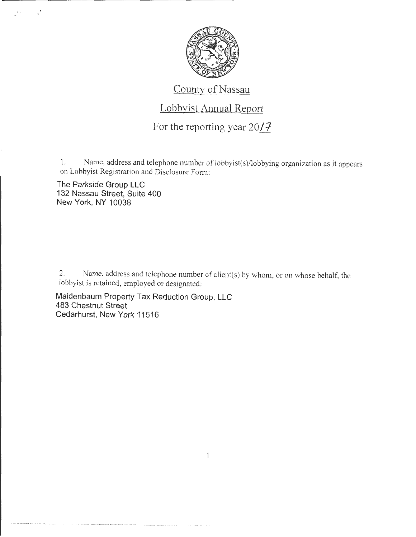

## County of Nassau

## Lobbyist Annual Report

For the reporting year *2011-*

1. Name, address and telephone number of lobbyist(s)/lobbying organization as *it* appears on Lobbyist Registration and Disclosure Fom1:

The Parkside Group LLC 132 Nassau Street, Suite 400 New York, NY 10038

 $\cdot$ 

2. Name, address and telephone number of client(s) by whom, or on whose behalf, the lobbyist is retained, employed or designated:

Maidenbaum Property Tax Reduction Group, LLC 483 Chestnut Street Cedarhurst, New York 11516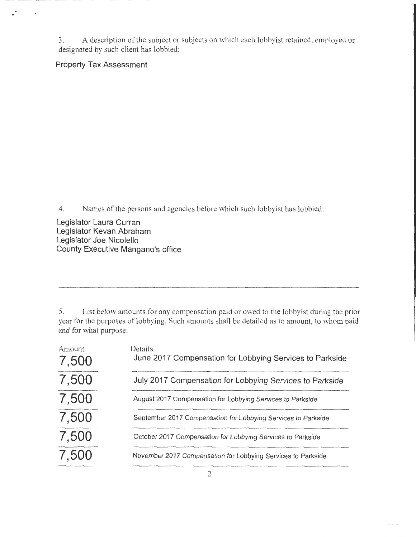3. A description of the subject or subjects on which each lobby ist retained, employed or designated by such client has lobbied:

Property Tax Assessment

 $\mathcal{L}$ 

 $\cdot$ 

4. Names of the persons and agencies before which such lobbyist has lobbied:

Legislator Laura Curran Legislator Kevan Abraham Legislator Joe Nicolello County Executive Mangano's office

5. List below amounts for any compensation paid or owed to the lobbyist during the prior year for the purposes of lobbying. Such amounts shall be detailed as to amount, to whom paid and for what purpose.

| Amount<br>7,500 | Details<br>June 2017 Compensation for Lobbying Services to Parkside |
|-----------------|---------------------------------------------------------------------|
| 7,500           | July 2017 Compensation for Lobbying Services to Parkside            |
| 7,500           | August 2017 Compensation for Lobbying Services to Parkside          |
| 7,500           | September 2017 Compensation for Lobbying Services to Parkside       |
| 7,500           | October 2017 Compensation for Lobbying Services to Parkside         |
| 7,500           | November 2017 Compensation for Lobbying Services to Parkside        |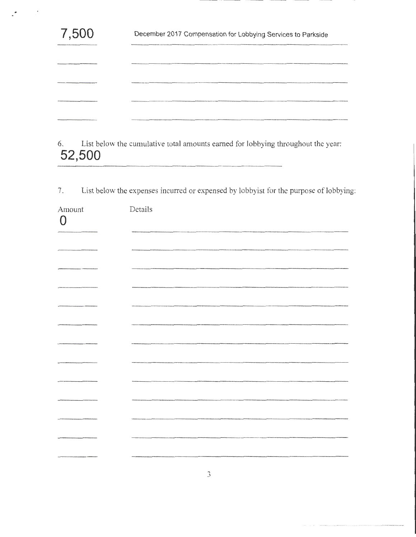| 7,500 | December 2017 Compensation for Lobbying Services to Parkside |
|-------|--------------------------------------------------------------|
|       |                                                              |
|       |                                                              |
|       |                                                              |
|       |                                                              |

 $\tilde{\phantom{a}}$ 

6. List below the cumulative total amounts earned for lobbying throughout the year: **52,500** 

7. List below the expenses incurred or expensed by lobbyist for the purpose of lobbying:

| Amount<br>$\Omega$ | Details |
|--------------------|---------|
|                    |         |
|                    |         |
|                    |         |
|                    |         |
|                    |         |
|                    |         |
|                    |         |
|                    |         |
|                    |         |
|                    |         |
|                    |         |
|                    |         |
|                    |         |